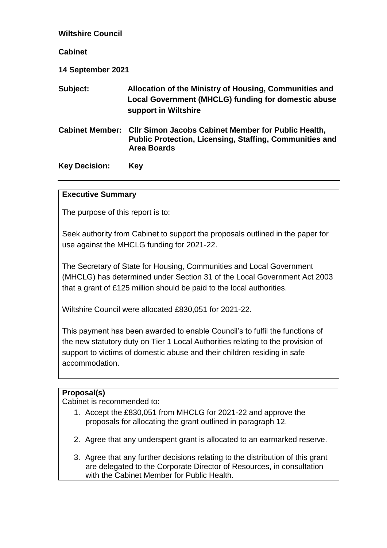| <b>Wiltshire Council</b> |                                                                                                                                                             |
|--------------------------|-------------------------------------------------------------------------------------------------------------------------------------------------------------|
| <b>Cabinet</b>           |                                                                                                                                                             |
| 14 September 2021        |                                                                                                                                                             |
| Subject:                 | Allocation of the Ministry of Housing, Communities and<br>Local Government (MHCLG) funding for domestic abuse<br>support in Wiltshire                       |
|                          | <b>Cabinet Member: Cllr Simon Jacobs Cabinet Member for Public Health,</b><br><b>Public Protection, Licensing, Staffing, Communities and</b><br>Area Boards |
| <b>Key Decision:</b>     | Key                                                                                                                                                         |

# **Executive Summary**

The purpose of this report is to:

Seek authority from Cabinet to support the proposals outlined in the paper for use against the MHCLG funding for 2021-22.

The Secretary of State for Housing, Communities and Local Government (MHCLG) has determined under Section 31 of the Local Government Act 2003 that a grant of £125 million should be paid to the local authorities.

Wiltshire Council were allocated £830,051 for 2021-22.

This payment has been awarded to enable Council's to fulfil the functions of the new statutory duty on Tier 1 Local Authorities relating to the provision of support to victims of domestic abuse and their children residing in safe accommodation.

# **Proposal(s)**

Cabinet is recommended to:

- 1. Accept the £830,051 from MHCLG for 2021-22 and approve the proposals for allocating the grant outlined in paragraph 12.
- 2. Agree that any underspent grant is allocated to an earmarked reserve.
- 3. Agree that any further decisions relating to the distribution of this grant are delegated to the Corporate Director of Resources, in consultation with the Cabinet Member for Public Health.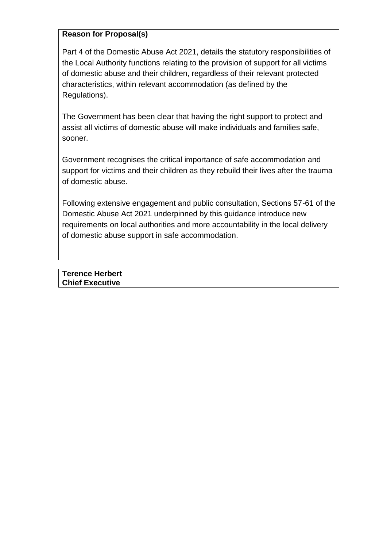# **Reason for Proposal(s)**

Part 4 of the Domestic Abuse Act 2021, details the statutory responsibilities of the Local Authority functions relating to the provision of support for all victims of domestic abuse and their children, regardless of their relevant protected characteristics, within relevant accommodation (as defined by the Regulations).

The Government has been clear that having the right support to protect and assist all victims of domestic abuse will make individuals and families safe, sooner.

Government recognises the critical importance of safe accommodation and support for victims and their children as they rebuild their lives after the trauma of domestic abuse.

Following extensive engagement and public consultation, Sections 57-61 of the Domestic Abuse Act 2021 underpinned by this guidance introduce new requirements on local authorities and more accountability in the local delivery of domestic abuse support in safe accommodation.

**Terence Herbert Chief Executive**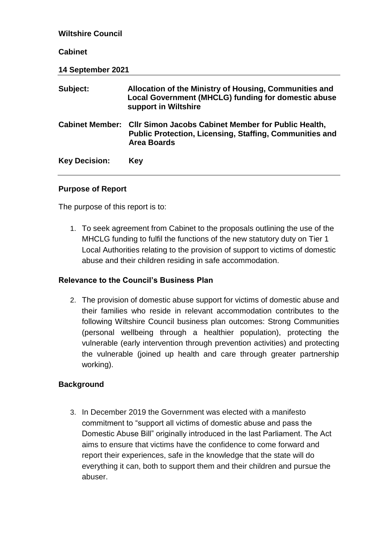| <b>Wiltshire Council</b> |                                                                                                                                                    |  |  |  |
|--------------------------|----------------------------------------------------------------------------------------------------------------------------------------------------|--|--|--|
| <b>Cabinet</b>           |                                                                                                                                                    |  |  |  |
| 14 September 2021        |                                                                                                                                                    |  |  |  |
| Subject:                 | Allocation of the Ministry of Housing, Communities and<br>Local Government (MHCLG) funding for domestic abuse<br>support in Wiltshire              |  |  |  |
| <b>Cabinet Member:</b>   | <b>CIIr Simon Jacobs Cabinet Member for Public Health,</b><br><b>Public Protection, Licensing, Staffing, Communities and</b><br><b>Area Boards</b> |  |  |  |
| <b>Key Decision:</b>     | Key                                                                                                                                                |  |  |  |

### **Purpose of Report**

The purpose of this report is to:

1. To seek agreement from Cabinet to the proposals outlining the use of the MHCLG funding to fulfil the functions of the new statutory duty on Tier 1 Local Authorities relating to the provision of support to victims of domestic abuse and their children residing in safe accommodation.

# **Relevance to the Council's Business Plan**

2. The provision of domestic abuse support for victims of domestic abuse and their families who reside in relevant accommodation contributes to the following Wiltshire Council business plan outcomes: Strong Communities (personal wellbeing through a healthier population), protecting the vulnerable (early intervention through prevention activities) and protecting the vulnerable (joined up health and care through greater partnership working).

# **Background**

3. In December 2019 the Government was elected with a manifesto commitment to "support all victims of domestic abuse and pass the Domestic Abuse Bill" originally introduced in the last Parliament. The Act aims to ensure that victims have the confidence to come forward and report their experiences, safe in the knowledge that the state will do everything it can, both to support them and their children and pursue the abuser.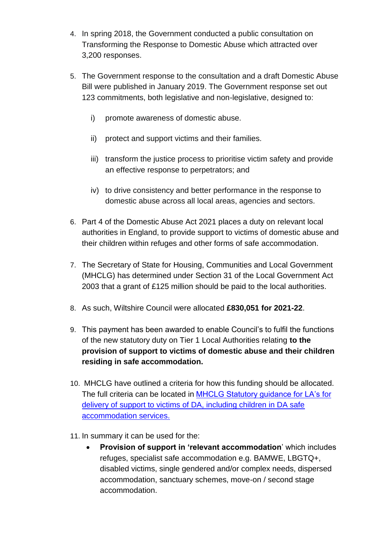- 4. In spring 2018, the Government conducted a public consultation on Transforming the Response to Domestic Abuse which attracted over 3,200 responses.
- 5. The Government response to the consultation and a draft Domestic Abuse Bill were published in January 2019. The Government response set out 123 commitments, both legislative and non-legislative, designed to:
	- i) promote awareness of domestic abuse.
	- ii) protect and support victims and their families.
	- iii) transform the justice process to prioritise victim safety and provide an effective response to perpetrators; and
	- iv) to drive consistency and better performance in the response to domestic abuse across all local areas, agencies and sectors.
- 6. Part 4 of the Domestic Abuse Act 2021 places a duty on relevant local authorities in England, to provide support to victims of domestic abuse and their children within refuges and other forms of safe accommodation.
- 7. The Secretary of State for Housing, Communities and Local Government (MHCLG) has determined under Section 31 of the Local Government Act 2003 that a grant of £125 million should be paid to the local authorities.
- 8. As such, Wiltshire Council were allocated **£830,051 for 2021-22**.
- 9. This payment has been awarded to enable Council's to fulfil the functions of the new statutory duty on Tier 1 Local Authorities relating **to the provision of support to victims of domestic abuse and their children residing in safe accommodation.**
- 10. MHCLG have outlined a criteria for how this funding should be allocated. The full criteria can be located in [MHCLG Statutory guidance for LA's](https://eur02.safelinks.protection.outlook.com/?url=https%3A%2F%2Fassets.publishing.service.gov.uk%2Fgovernment%2Fuploads%2Fsystem%2Fuploads%2Fattachment_data%2Ffile%2F993825%2FDomestic_Abuse_Act_-_draft_statutory_guidance.pdf&data=04%7C01%7CHayley.Mortimer%40wiltshire.gov.uk%7C77dcae27d3e24148b85708d9357c1be8%7C5546e75e3be14813b0ff26651ea2fe19%7C0%7C0%7C637599629417622341%7CUnknown%7CTWFpbGZsb3d8eyJWIjoiMC4wLjAwMDAiLCJQIjoiV2luMzIiLCJBTiI6Ik1haWwiLCJXVCI6Mn0%3D%7C1000&sdata=vTgRua26Xu2Ei4nxOAt3GHJR9%2F5OusDtUSv39BgRcjg%3D&reserved=0) for [delivery of support to victims of DA, including children in DA safe](https://eur02.safelinks.protection.outlook.com/?url=https%3A%2F%2Fassets.publishing.service.gov.uk%2Fgovernment%2Fuploads%2Fsystem%2Fuploads%2Fattachment_data%2Ffile%2F993825%2FDomestic_Abuse_Act_-_draft_statutory_guidance.pdf&data=04%7C01%7CHayley.Mortimer%40wiltshire.gov.uk%7C77dcae27d3e24148b85708d9357c1be8%7C5546e75e3be14813b0ff26651ea2fe19%7C0%7C0%7C637599629417622341%7CUnknown%7CTWFpbGZsb3d8eyJWIjoiMC4wLjAwMDAiLCJQIjoiV2luMzIiLCJBTiI6Ik1haWwiLCJXVCI6Mn0%3D%7C1000&sdata=vTgRua26Xu2Ei4nxOAt3GHJR9%2F5OusDtUSv39BgRcjg%3D&reserved=0)  [accommodation services.](https://eur02.safelinks.protection.outlook.com/?url=https%3A%2F%2Fassets.publishing.service.gov.uk%2Fgovernment%2Fuploads%2Fsystem%2Fuploads%2Fattachment_data%2Ffile%2F993825%2FDomestic_Abuse_Act_-_draft_statutory_guidance.pdf&data=04%7C01%7CHayley.Mortimer%40wiltshire.gov.uk%7C77dcae27d3e24148b85708d9357c1be8%7C5546e75e3be14813b0ff26651ea2fe19%7C0%7C0%7C637599629417622341%7CUnknown%7CTWFpbGZsb3d8eyJWIjoiMC4wLjAwMDAiLCJQIjoiV2luMzIiLCJBTiI6Ik1haWwiLCJXVCI6Mn0%3D%7C1000&sdata=vTgRua26Xu2Ei4nxOAt3GHJR9%2F5OusDtUSv39BgRcjg%3D&reserved=0)
- 11. In summary it can be used for the:
	- **Provision of support in 'relevant accommodation**' which includes refuges, specialist safe accommodation e.g. BAMWE, LBGTQ+, disabled victims, single gendered and/or complex needs, dispersed accommodation, sanctuary schemes, move-on / second stage accommodation.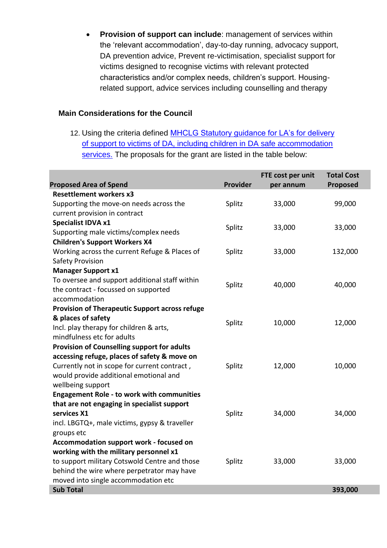**Provision of support can include**: management of services within the 'relevant accommodation', day-to-day running, advocacy support, DA prevention advice, Prevent re-victimisation, specialist support for victims designed to recognise victims with relevant protected characteristics and/or complex needs, children's support. Housingrelated support, advice services including counselling and therapy

## **Main Considerations for the Council**

12. Using the criteria defined [MHCLG Statutory guidance for LA's for delivery](https://eur02.safelinks.protection.outlook.com/?url=https%3A%2F%2Fassets.publishing.service.gov.uk%2Fgovernment%2Fuploads%2Fsystem%2Fuploads%2Fattachment_data%2Ffile%2F993825%2FDomestic_Abuse_Act_-_draft_statutory_guidance.pdf&data=04%7C01%7CHayley.Mortimer%40wiltshire.gov.uk%7C77dcae27d3e24148b85708d9357c1be8%7C5546e75e3be14813b0ff26651ea2fe19%7C0%7C0%7C637599629417622341%7CUnknown%7CTWFpbGZsb3d8eyJWIjoiMC4wLjAwMDAiLCJQIjoiV2luMzIiLCJBTiI6Ik1haWwiLCJXVCI6Mn0%3D%7C1000&sdata=vTgRua26Xu2Ei4nxOAt3GHJR9%2F5OusDtUSv39BgRcjg%3D&reserved=0)  [of support to victims of DA, including children in DA safe accommodation](https://eur02.safelinks.protection.outlook.com/?url=https%3A%2F%2Fassets.publishing.service.gov.uk%2Fgovernment%2Fuploads%2Fsystem%2Fuploads%2Fattachment_data%2Ffile%2F993825%2FDomestic_Abuse_Act_-_draft_statutory_guidance.pdf&data=04%7C01%7CHayley.Mortimer%40wiltshire.gov.uk%7C77dcae27d3e24148b85708d9357c1be8%7C5546e75e3be14813b0ff26651ea2fe19%7C0%7C0%7C637599629417622341%7CUnknown%7CTWFpbGZsb3d8eyJWIjoiMC4wLjAwMDAiLCJQIjoiV2luMzIiLCJBTiI6Ik1haWwiLCJXVCI6Mn0%3D%7C1000&sdata=vTgRua26Xu2Ei4nxOAt3GHJR9%2F5OusDtUSv39BgRcjg%3D&reserved=0)  [services.](https://eur02.safelinks.protection.outlook.com/?url=https%3A%2F%2Fassets.publishing.service.gov.uk%2Fgovernment%2Fuploads%2Fsystem%2Fuploads%2Fattachment_data%2Ffile%2F993825%2FDomestic_Abuse_Act_-_draft_statutory_guidance.pdf&data=04%7C01%7CHayley.Mortimer%40wiltshire.gov.uk%7C77dcae27d3e24148b85708d9357c1be8%7C5546e75e3be14813b0ff26651ea2fe19%7C0%7C0%7C637599629417622341%7CUnknown%7CTWFpbGZsb3d8eyJWIjoiMC4wLjAwMDAiLCJQIjoiV2luMzIiLCJBTiI6Ik1haWwiLCJXVCI6Mn0%3D%7C1000&sdata=vTgRua26Xu2Ei4nxOAt3GHJR9%2F5OusDtUSv39BgRcjg%3D&reserved=0) The proposals for the grant are listed in the table below:

|                                                       |          | FTE cost per unit | <b>Total Cost</b> |
|-------------------------------------------------------|----------|-------------------|-------------------|
| <b>Proposed Area of Spend</b>                         | Provider | per annum         | <b>Proposed</b>   |
| <b>Resettlement workers x3</b>                        |          |                   |                   |
| Supporting the move-on needs across the               | Splitz   | 33,000            | 99,000            |
| current provision in contract                         |          |                   |                   |
| Specialist IDVA x1                                    | Splitz   | 33,000            | 33,000            |
| Supporting male victims/complex needs                 |          |                   |                   |
| <b>Children's Support Workers X4</b>                  |          |                   |                   |
| Working across the current Refuge & Places of         | Splitz   | 33,000            | 132,000           |
| <b>Safety Provision</b>                               |          |                   |                   |
| <b>Manager Support x1</b>                             |          |                   |                   |
| To oversee and support additional staff within        | Splitz   | 40,000            | 40,000            |
| the contract - focussed on supported                  |          |                   |                   |
| accommodation                                         |          |                   |                   |
| <b>Provision of Therapeutic Support across refuge</b> |          |                   |                   |
| & places of safety                                    | Splitz   | 10,000            | 12,000            |
| Incl. play therapy for children & arts,               |          |                   |                   |
| mindfulness etc for adults                            |          |                   |                   |
| Provision of Counselling support for adults           |          |                   |                   |
| accessing refuge, places of safety & move on          |          |                   |                   |
| Currently not in scope for current contract,          | Splitz   | 12,000            | 10,000            |
| would provide additional emotional and                |          |                   |                   |
| wellbeing support                                     |          |                   |                   |
| <b>Engagement Role - to work with communities</b>     |          |                   |                   |
| that are not engaging in specialist support           |          |                   |                   |
| services X1                                           | Splitz   | 34,000            | 34,000            |
| incl. LBGTQ+, male victims, gypsy & traveller         |          |                   |                   |
| groups etc                                            |          |                   |                   |
| Accommodation support work - focused on               |          |                   |                   |
| working with the military personnel x1                |          |                   |                   |
| to support military Cotswold Centre and those         | Splitz   | 33,000            | 33,000            |
| behind the wire where perpetrator may have            |          |                   |                   |
| moved into single accommodation etc                   |          |                   |                   |
| <b>Sub Total</b>                                      |          |                   | 393,000           |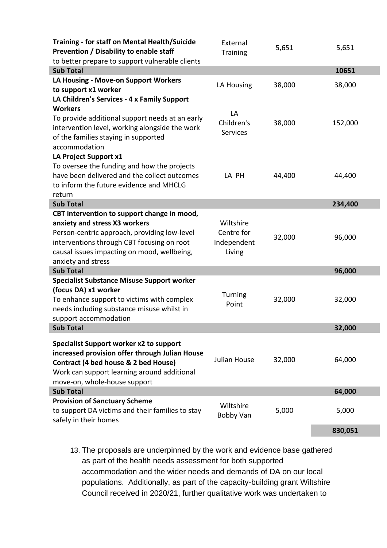| <b>Training - for staff on Mental Health/Suicide</b><br>Prevention / Disability to enable staff | External<br><b>Training</b> | 5,651  | 5,651   |
|-------------------------------------------------------------------------------------------------|-----------------------------|--------|---------|
| to better prepare to support vulnerable clients                                                 |                             |        |         |
| <b>Sub Total</b>                                                                                |                             |        | 10651   |
| LA Housing - Move-on Support Workers                                                            | LA Housing                  | 38,000 | 38,000  |
| to support x1 worker                                                                            |                             |        |         |
| LA Children's Services - 4 x Family Support                                                     |                             |        |         |
| <b>Workers</b>                                                                                  | LA                          |        |         |
| To provide additional support needs at an early                                                 | Children's                  | 38,000 | 152,000 |
| intervention level, working alongside the work                                                  | <b>Services</b>             |        |         |
| of the families staying in supported                                                            |                             |        |         |
| accommodation                                                                                   |                             |        |         |
| LA Project Support x1                                                                           |                             |        |         |
| To oversee the funding and how the projects                                                     |                             |        |         |
| have been delivered and the collect outcomes                                                    | LA PH                       | 44,400 | 44,400  |
| to inform the future evidence and MHCLG                                                         |                             |        |         |
| return                                                                                          |                             |        |         |
| <b>Sub Total</b>                                                                                |                             |        | 234,400 |
| CBT intervention to support change in mood,                                                     |                             |        |         |
| anxiety and stress X3 workers                                                                   | Wiltshire                   |        |         |
| Person-centric approach, providing low-level                                                    | Centre for                  |        |         |
| interventions through CBT focusing on root                                                      | Independent                 | 32,000 | 96,000  |
| causal issues impacting on mood, wellbeing,                                                     | Living                      |        |         |
| anxiety and stress                                                                              |                             |        |         |
| <b>Sub Total</b>                                                                                |                             |        | 96,000  |
| <b>Specialist Substance Misuse Support worker</b>                                               |                             |        |         |
| (focus DA) x1 worker                                                                            |                             |        |         |
| To enhance support to victims with complex                                                      | Turning                     | 32,000 | 32,000  |
| needs including substance misuse whilst in                                                      | Point                       |        |         |
| support accommodation                                                                           |                             |        |         |
| <b>Sub Total</b>                                                                                |                             |        | 32,000  |
|                                                                                                 |                             |        |         |
| Specialist Support worker x2 to support                                                         |                             |        |         |
| increased provision offer through Julian House                                                  |                             |        |         |
| Contract (4 bed house & 2 bed House)                                                            | Julian House                | 32,000 | 64,000  |
| Work can support learning around additional                                                     |                             |        |         |
| move-on, whole-house support                                                                    |                             |        |         |
| <b>Sub Total</b>                                                                                |                             |        | 64,000  |
| <b>Provision of Sanctuary Scheme</b>                                                            | Wiltshire                   |        |         |
| to support DA victims and their families to stay                                                |                             | 5,000  | 5,000   |
| safely in their homes                                                                           | Bobby Van                   |        |         |
|                                                                                                 |                             |        | 830,051 |

13. The proposals are underpinned by the work and evidence base gathered as part of the health needs assessment for both supported accommodation and the wider needs and demands of DA on our local populations. Additionally, as part of the capacity-building grant Wiltshire Council received in 2020/21, further qualitative work was undertaken to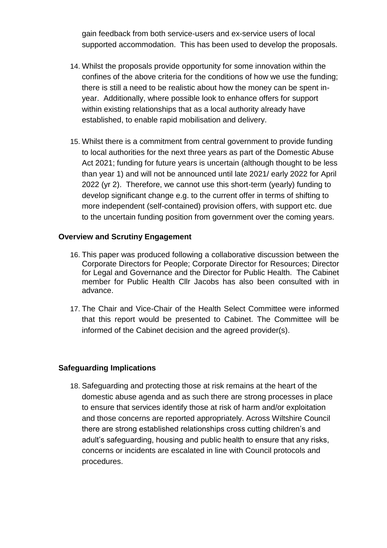gain feedback from both service-users and ex-service users of local supported accommodation. This has been used to develop the proposals.

- 14. Whilst the proposals provide opportunity for some innovation within the confines of the above criteria for the conditions of how we use the funding; there is still a need to be realistic about how the money can be spent inyear. Additionally, where possible look to enhance offers for support within existing relationships that as a local authority already have established, to enable rapid mobilisation and delivery.
- 15. Whilst there is a commitment from central government to provide funding to local authorities for the next three years as part of the Domestic Abuse Act 2021; funding for future years is uncertain (although thought to be less than year 1) and will not be announced until late 2021/ early 2022 for April 2022 (yr 2). Therefore, we cannot use this short-term (yearly) funding to develop significant change e.g. to the current offer in terms of shifting to more independent (self-contained) provision offers, with support etc. due to the uncertain funding position from government over the coming years.

### **Overview and Scrutiny Engagement**

- 16. This paper was produced following a collaborative discussion between the Corporate Directors for People; Corporate Director for Resources; Director for Legal and Governance and the Director for Public Health. The Cabinet member for Public Health Cllr Jacobs has also been consulted with in advance.
- 17. The Chair and Vice-Chair of the Health Select Committee were informed that this report would be presented to Cabinet. The Committee will be informed of the Cabinet decision and the agreed provider(s).

#### **Safeguarding Implications**

18. Safeguarding and protecting those at risk remains at the heart of the domestic abuse agenda and as such there are strong processes in place to ensure that services identify those at risk of harm and/or exploitation and those concerns are reported appropriately. Across Wiltshire Council there are strong established relationships cross cutting children's and adult's safeguarding, housing and public health to ensure that any risks, concerns or incidents are escalated in line with Council protocols and procedures.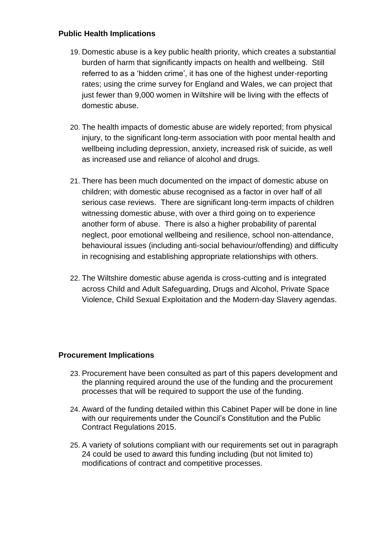## **Public Health Implications**

- 19. Domestic abuse is a key public health priority, which creates a substantial burden of harm that significantly impacts on health and wellbeing. Still referred to as a 'hidden crime', it has one of the highest under-reporting rates; using the crime survey for England and Wales, we can project that just fewer than 9,000 women in Wiltshire will be living with the effects of domestic abuse.
- 20. The health impacts of domestic abuse are widely reported; from physical injury, to the significant long-term association with poor mental health and wellbeing including depression, anxiety, increased risk of suicide, as well as increased use and reliance of alcohol and drugs.
- 21. There has been much documented on the impact of domestic abuse on children; with domestic abuse recognised as a factor in over half of all serious case reviews. There are significant long-term impacts of children witnessing domestic abuse, with over a third going on to experience another form of abuse. There is also a higher probability of parental neglect, poor emotional wellbeing and resilience, school non-attendance, behavioural issues (including anti-social behaviour/offending) and difficulty in recognising and establishing appropriate relationships with others.
- 22. The Wiltshire domestic abuse agenda is cross-cutting and is integrated across Child and Adult Safeguarding, Drugs and Alcohol, Private Space Violence, Child Sexual Exploitation and the Modern-day Slavery agendas.

# **Procurement Implications**

- 23. Procurement have been consulted as part of this papers development and the planning required around the use of the funding and the procurement processes that will be required to support the use of the funding.
- 24. Award of the funding detailed within this Cabinet Paper will be done in line with our requirements under the Council's Constitution and the Public Contract Regulations 2015.
- 25. A variety of solutions compliant with our requirements set out in paragraph 24 could be used to award this funding including (but not limited to) modifications of contract and competitive processes.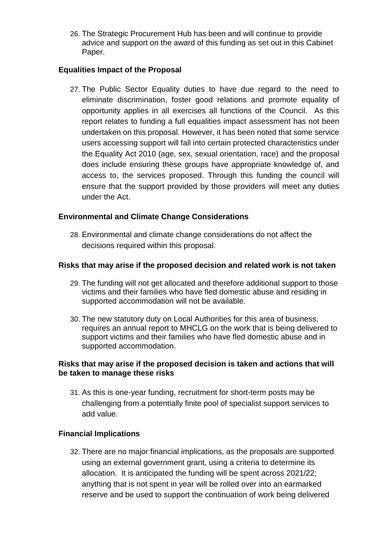26. The Strategic Procurement Hub has been and will continue to provide advice and support on the award of this funding as set out in this Cabinet Paper.

## **Equalities Impact of the Proposal**

27. The Public Sector Equality duties to have due regard to the need to eliminate discrimination, foster good relations and promote equality of opportunity applies in all exercises all functions of the Council. As this report relates to funding a full equalities impact assessment has not been undertaken on this proposal. However, it has been noted that some service users accessing support will fall into certain protected characteristics under the Equality Act 2010 (age, sex, sexual orientation, race) and the proposal does include ensuring these groups have appropriate knowledge of, and access to, the services proposed. Through this funding the council will ensure that the support provided by those providers will meet any duties under the Act.

### **Environmental and Climate Change Considerations**

28. Environmental and climate change considerations do not affect the decisions required within this proposal.

### **Risks that may arise if the proposed decision and related work is not taken**

- 29. The funding will not get allocated and therefore additional support to those victims and their families who have fled domestic abuse and residing in supported accommodation will not be available.
- 30. The new statutory duty on Local Authorities for this area of business, requires an annual report to MHCLG on the work that is being delivered to support victims and their families who have fled domestic abuse and in supported accommodation.

### **Risks that may arise if the proposed decision is taken and actions that will be taken to manage these risks**

31. As this is one-year funding, recruitment for short-term posts may be challenging from a potentially finite pool of specialist support services to add value.

#### **Financial Implications**

32. There are no major financial implications, as the proposals are supported using an external government grant, using a criteria to determine its allocation. It is anticipated the funding will be spent across 2021/22; anything that is not spent in year will be rolled over into an earmarked reserve and be used to support the continuation of work being delivered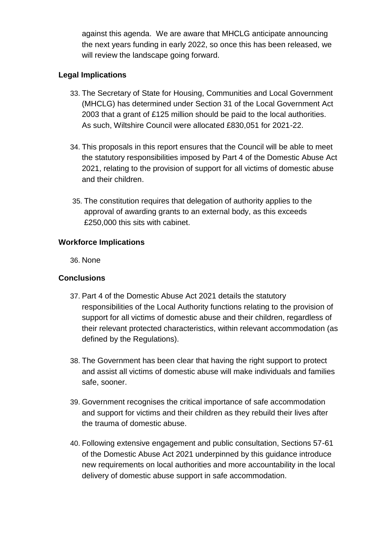against this agenda. We are aware that MHCLG anticipate announcing the next years funding in early 2022, so once this has been released, we will review the landscape going forward.

# **Legal Implications**

- 33. The Secretary of State for Housing, Communities and Local Government (MHCLG) has determined under Section 31 of the Local Government Act 2003 that a grant of £125 million should be paid to the local authorities. As such, Wiltshire Council were allocated £830,051 for 2021-22.
- 34. This proposals in this report ensures that the Council will be able to meet the statutory responsibilities imposed by Part 4 of the Domestic Abuse Act 2021, relating to the provision of support for all victims of domestic abuse and their children.
- 35. The constitution requires that delegation of authority applies to the approval of awarding grants to an external body, as this exceeds £250,000 this sits with cabinet.

### **Workforce Implications**

36. None

# **Conclusions**

- 37. Part 4 of the Domestic Abuse Act 2021 details the statutory responsibilities of the Local Authority functions relating to the provision of support for all victims of domestic abuse and their children, regardless of their relevant protected characteristics, within relevant accommodation (as defined by the Regulations).
- 38. The Government has been clear that having the right support to protect and assist all victims of domestic abuse will make individuals and families safe, sooner.
- 39. Government recognises the critical importance of safe accommodation and support for victims and their children as they rebuild their lives after the trauma of domestic abuse.
- 40. Following extensive engagement and public consultation, Sections 57-61 of the Domestic Abuse Act 2021 underpinned by this guidance introduce new requirements on local authorities and more accountability in the local delivery of domestic abuse support in safe accommodation.